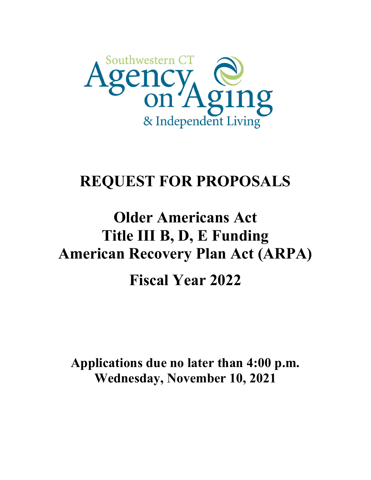

## **REQUEST FOR PROPOSALS**

# **Older Americans Act Title III B, D, E Funding American Recovery Plan Act (ARPA)**

**Fiscal Year 2022**

**Applications due no later than 4:00 p.m. Wednesday, November 10, 2021**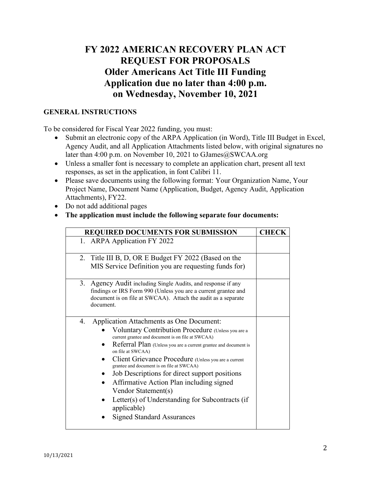### **FY 2022 AMERICAN RECOVERY PLAN ACT REQUEST FOR PROPOSALS Older Americans Act Title III Funding Application due no later than 4:00 p.m. on Wednesday, November 10, 2021**

#### **GENERAL INSTRUCTIONS**

To be considered for Fiscal Year 2022 funding, you must:

- Submit an electronic copy of the ARPA Application (in Word), Title III Budget in Excel, Agency Audit, and all Application Attachments listed below, with original signatures no later than 4:00 p.m. on November 10, 2021 to GJames@SWCAA.org
- Unless a smaller font is necessary to complete an application chart, present all text responses, as set in the application, in font Calibri 11.
- Please save documents using the following format: Your Organization Name, Your Project Name, Document Name (Application, Budget, Agency Audit, Application Attachments), FY22.
- Do not add additional pages
- **The application must include the following separate four documents:**

| <b>REQUIRED DOCUMENTS FOR SUBMISSION</b>                                                                                                                                                                                                                                                                                                                                                                                                                                                                                                                                          | <b>CHECK</b> |
|-----------------------------------------------------------------------------------------------------------------------------------------------------------------------------------------------------------------------------------------------------------------------------------------------------------------------------------------------------------------------------------------------------------------------------------------------------------------------------------------------------------------------------------------------------------------------------------|--------------|
| 1. ARPA Application FY 2022                                                                                                                                                                                                                                                                                                                                                                                                                                                                                                                                                       |              |
| 2. Title III B, D, OR E Budget FY 2022 (Based on the<br>MIS Service Definition you are requesting funds for)                                                                                                                                                                                                                                                                                                                                                                                                                                                                      |              |
| 3. Agency Audit including Single Audits, and response if any<br>findings or IRS Form 990 (Unless you are a current grantee and<br>document is on file at SWCAA). Attach the audit as a separate<br>document.                                                                                                                                                                                                                                                                                                                                                                      |              |
| Application Attachments as One Document:<br>4.<br>Voluntary Contribution Procedure (Unless you are a<br>current grantee and document is on file at SWCAA)<br>Referral Plan (Unless you are a current grantee and document is<br>on file at SWCAA)<br>Client Grievance Procedure (Unless you are a current<br>grantee and document is on file at SWCAA)<br>Job Descriptions for direct support positions<br>Affirmative Action Plan including signed<br>Vendor Statement(s)<br>Letter(s) of Understanding for Subcontracts (if<br>applicable)<br><b>Signed Standard Assurances</b> |              |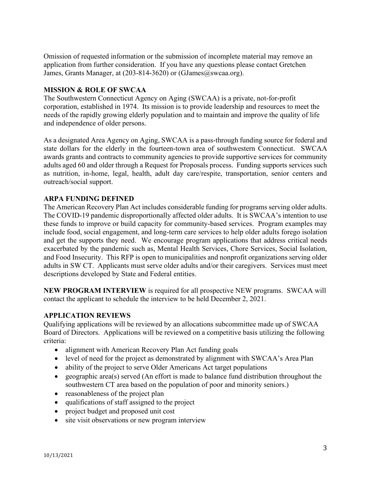Omission of requested information or the submission of incomplete material may remove an application from further consideration. If you have any questions please contact Gretchen James, Grants Manager, at (203-814-3620) or (GJames@swcaa.org).

#### **MISSION & ROLE OF SWCAA**

The Southwestern Connecticut Agency on Aging (SWCAA) is a private, not-for-profit corporation, established in 1974. Its mission is to provide leadership and resources to meet the needs of the rapidly growing elderly population and to maintain and improve the quality of life and independence of older persons.

As a designated Area Agency on Aging, SWCAA is a pass-through funding source for federal and state dollars for the elderly in the fourteen-town area of southwestern Connecticut. SWCAA awards grants and contracts to community agencies to provide supportive services for community adults aged 60 and older through a Request for Proposals process. Funding supports services such as nutrition, in-home, legal, health, adult day care/respite, transportation, senior centers and outreach/social support.

#### **ARPA FUNDING DEFINED**

The American Recovery Plan Act includes considerable funding for programs serving older adults. The COVID-19 pandemic disproportionally affected older adults. It is SWCAA's intention to use these funds to improve or build capacity for community-based services. Program examples may include food, social engagement, and long-term care services to help older adults forego isolation and get the supports they need. We encourage program applications that address critical needs exacerbated by the pandemic such as, Mental Health Services, Chore Services, Social Isolation, and Food Insecurity. This RFP is open to municipalities and nonprofit organizations serving older adults in SW CT. Applicants must serve older adults and/or their caregivers. Services must meet descriptions developed by State and Federal entities.

**NEW PROGRAM INTERVIEW** is required for all prospective NEW programs. SWCAA will contact the applicant to schedule the interview to be held December 2, 2021.

#### **APPLICATION REVIEWS**

Qualifying applications will be reviewed by an allocations subcommittee made up of SWCAA Board of Directors. Applications will be reviewed on a competitive basis utilizing the following criteria:

- alignment with American Recovery Plan Act funding goals
- level of need for the project as demonstrated by alignment with SWCAA's Area Plan
- ability of the project to serve Older Americans Act target populations
- geographic area(s) served (An effort is made to balance fund distribution throughout the southwestern CT area based on the population of poor and minority seniors.)
- reasonableness of the project plan
- qualifications of staff assigned to the project
- project budget and proposed unit cost
- site visit observations or new program interview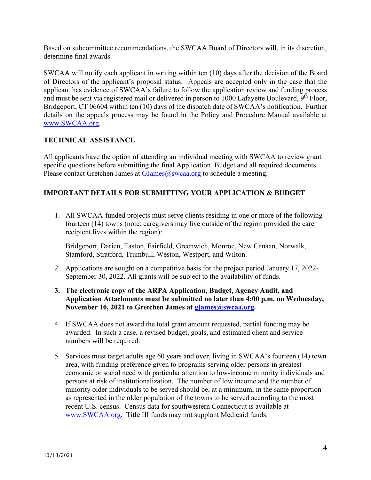Based on subcommittee recommendations, the SWCAA Board of Directors will, in its discretion, determine final awards.

SWCAA will notify each applicant in writing within ten (10) days after the decision of the Board of Directors of the applicant's proposal status. Appeals are accepted only in the case that the applicant has evidence of SWCAA's failure to follow the application review and funding process and must be sent via registered mail or delivered in person to 1000 Lafayette Boulevard, 9<sup>th</sup> Floor, Bridgeport, CT 06604 within ten (10) days of the dispatch date of SWCAA's notification. Further details on the appeals process may be found in the Policy and Procedure Manual available at [www.SWCAA.org.](http://www.swcaa.org/)

#### **TECHNICAL ASSISTANCE**

All applicants have the option of attending an individual meeting with SWCAA to review grant specific questions before submitting the final Application, Budget and all required documents. Please contact Gretchen James at  $GJames@swca.org$  to schedule a meeting.

#### **IMPORTANT DETAILS FOR SUBMITTING YOUR APPLICATION & BUDGET**

1. All SWCAA-funded projects must serve clients residing in one or more of the following fourteen (14) towns (note: caregivers may live outside of the region provided the care recipient lives within the region):

Bridgeport, Darien, Easton, Fairfield, Greenwich, Monroe, New Canaan, Norwalk, Stamford, Stratford, Trumbull, Weston, Westport, and Wilton.

- 2. Applications are sought on a competitive basis for the project period January 17, 2022- September 30, 2022. All grants will be subject to the availability of funds.
- **3. The electronic copy of the ARPA Application, Budget, Agency Audit, and Application Attachments must be submitted no later than 4:00 p.m. on Wednesday, November 10, 2021 to Gretchen James at [gjames@swcaa.org.](mailto:gjames@swcaa.org)**
- 4. If SWCAA does not award the total grant amount requested, partial funding may be awarded. In such a case, a revised budget, goals, and estimated client and service numbers will be required.
- 5. Services must target adults age 60 years and over, living in SWCAA's fourteen (14) town area, with funding preference given to programs serving older persons in greatest economic or social need with particular attention to low-income minority individuals and persons at risk of institutionalization. The number of low income and the number of minority older individuals to be served should be, at a minimum, in the same proportion as represented in the older population of the towns to be served according to the most recent U.S. census. Census data for southwestern Connecticut is available at [www.SWCAA.org.](http://www.swcaa.org/) Title III funds may not supplant Medicaid funds.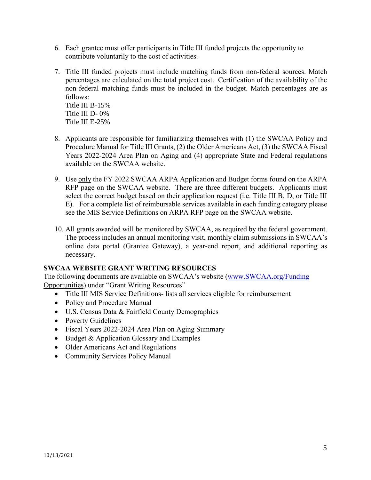- 6. Each grantee must offer participants in Title III funded projects the opportunity to contribute voluntarily to the cost of activities.
- 7. Title III funded projects must include matching funds from non-federal sources. Match percentages are calculated on the total project cost. Certification of the availability of the non-federal matching funds must be included in the budget. Match percentages are as follows:

Title III B-15% Title III D- 0% Title III E-25%

- 8. Applicants are responsible for familiarizing themselves with (1) the SWCAA Policy and Procedure Manual for Title III Grants, (2) the Older Americans Act, (3) the SWCAA Fiscal Years 2022-2024 Area Plan on Aging and (4) appropriate State and Federal regulations available on the SWCAA website.
- 9. Use only the FY 2022 SWCAA ARPA Application and Budget forms found on the ARPA RFP page on the SWCAA website. There are three different budgets. Applicants must select the correct budget based on their application request (i.e. Title III B, D, or Title III E). For a complete list of reimbursable services available in each funding category please see the MIS Service Definitions on ARPA RFP page on the SWCAA website.
- 10. All grants awarded will be monitored by SWCAA, as required by the federal government. The process includes an annual monitoring visit, monthly claim submissions in SWCAA's online data portal (Grantee Gateway), a year-end report, and additional reporting as necessary.

#### **SWCAA WEBSITE GRANT WRITING RESOURCES**

The following documents are available on SWCAA's website ([www.SWCAA.org/Funding](http://www.swcaa.org/Funding) Opportunities) under "Grant Writing Resources"

- Title III MIS Service Definitions- lists all services eligible for reimbursement
- Policy and Procedure Manual
- U.S. Census Data & Fairfield County Demographics
- Poverty Guidelines
- Fiscal Years 2022-2024 Area Plan on Aging Summary
- Budget & Application Glossary and Examples
- Older Americans Act and Regulations
- Community Services Policy Manual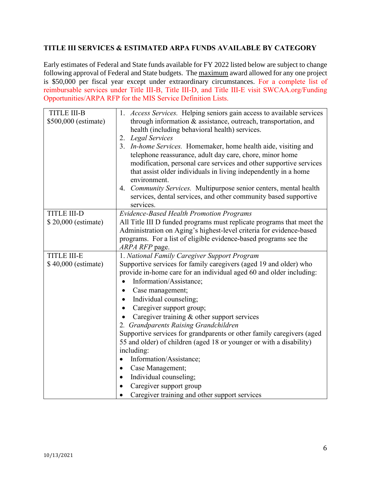#### **TITLE III SERVICES & ESTIMATED ARPA FUNDS AVAILABLE BY CATEGORY**

Early estimates of Federal and State funds available for FY 2022 listed below are subject to change following approval of Federal and State budgets. The maximum award allowed for any one project is \$50,000 per fiscal year except under extraordinary circumstances. For a complete list of reimbursable services under Title III-B, Title III-D, and Title III-E visit SWCAA.org/Funding Opportunities/ARPA RFP for the MIS Service Definition Lists.

| <b>TITLE III-B</b>   | 1. Access Services. Helping seniors gain access to available services |  |
|----------------------|-----------------------------------------------------------------------|--|
| \$500,000 (estimate) | through information & assistance, outreach, transportation, and       |  |
|                      | health (including behavioral health) services.                        |  |
|                      | 2. Legal Services                                                     |  |
|                      | 3. In-home Services. Homemaker, home health aide, visiting and        |  |
|                      | telephone reassurance, adult day care, chore, minor home              |  |
|                      | modification, personal care services and other supportive services    |  |
|                      | that assist older individuals in living independently in a home       |  |
|                      | environment.                                                          |  |
|                      | 4. Community Services. Multipurpose senior centers, mental health     |  |
|                      | services, dental services, and other community based supportive       |  |
|                      | services.                                                             |  |
| <b>TITLE III-D</b>   | <b>Evidence-Based Health Promotion Programs</b>                       |  |
| \$20,000 (estimate)  | All Title III D funded programs must replicate programs that meet the |  |
|                      | Administration on Aging's highest-level criteria for evidence-based   |  |
|                      | programs. For a list of eligible evidence-based programs see the      |  |
|                      | ARPA RFP page.                                                        |  |
| TITLE III-E          | 1. National Family Caregiver Support Program                          |  |
| \$40,000 (estimate)  | Supportive services for family caregivers (aged 19 and older) who     |  |
|                      | provide in-home care for an individual aged 60 and older including:   |  |
|                      | Information/Assistance;                                               |  |
|                      |                                                                       |  |
|                      | Case management;                                                      |  |
|                      | Individual counseling;                                                |  |
|                      | Caregiver support group;<br>$\bullet$                                 |  |
|                      | Caregiver training & other support services                           |  |
|                      | 2. Grandparents Raising Grandchildren                                 |  |
|                      | Supportive services for grandparents or other family caregivers (aged |  |
|                      | 55 and older) of children (aged 18 or younger or with a disability)   |  |
|                      | including:                                                            |  |
|                      | Information/Assistance;<br>$\bullet$                                  |  |
|                      | Case Management;                                                      |  |
|                      | Individual counseling;                                                |  |
|                      | Caregiver support group                                               |  |
|                      | Caregiver training and other support services                         |  |